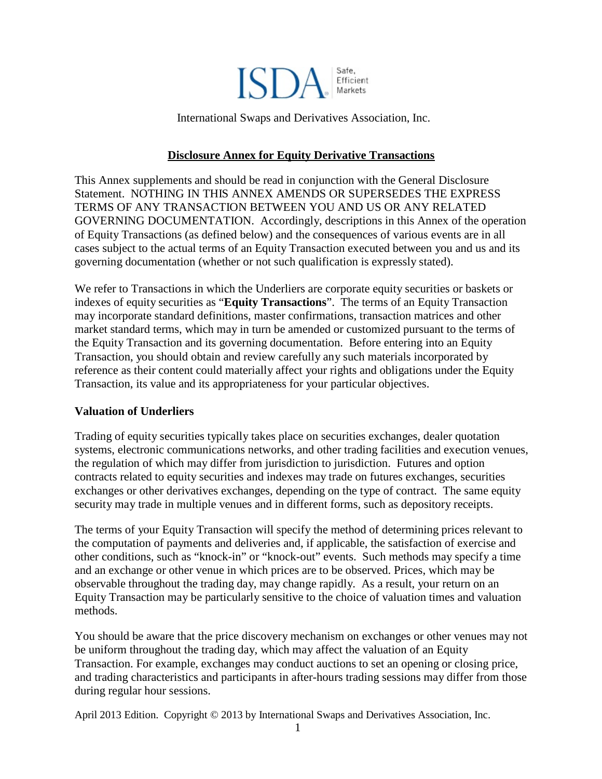

International Swaps and Derivatives Association, Inc.

### **Disclosure Annex for Equity Derivative Transactions**

This Annex supplements and should be read in conjunction with the General Disclosure Statement. NOTHING IN THIS ANNEX AMENDS OR SUPERSEDES THE EXPRESS TERMS OF ANY TRANSACTION BETWEEN YOU AND US OR ANY RELATED GOVERNING DOCUMENTATION. Accordingly, descriptions in this Annex of the operation of Equity Transactions (as defined below) and the consequences of various events are in all cases subject to the actual terms of an Equity Transaction executed between you and us and its governing documentation (whether or not such qualification is expressly stated).

We refer to Transactions in which the Underliers are corporate equity securities or baskets or indexes of equity securities as "**Equity Transactions**". The terms of an Equity Transaction may incorporate standard definitions, master confirmations, transaction matrices and other market standard terms, which may in turn be amended or customized pursuant to the terms of the Equity Transaction and its governing documentation. Before entering into an Equity Transaction, you should obtain and review carefully any such materials incorporated by reference as their content could materially affect your rights and obligations under the Equity Transaction, its value and its appropriateness for your particular objectives.

#### **Valuation of Underliers**

Trading of equity securities typically takes place on securities exchanges, dealer quotation systems, electronic communications networks, and other trading facilities and execution venues, the regulation of which may differ from jurisdiction to jurisdiction. Futures and option contracts related to equity securities and indexes may trade on futures exchanges, securities exchanges or other derivatives exchanges, depending on the type of contract. The same equity security may trade in multiple venues and in different forms, such as depository receipts.

The terms of your Equity Transaction will specify the method of determining prices relevant to the computation of payments and deliveries and, if applicable, the satisfaction of exercise and other conditions, such as "knock-in" or "knock-out" events. Such methods may specify a time and an exchange or other venue in which prices are to be observed. Prices, which may be observable throughout the trading day, may change rapidly. As a result, your return on an Equity Transaction may be particularly sensitive to the choice of valuation times and valuation methods.

You should be aware that the price discovery mechanism on exchanges or other venues may not be uniform throughout the trading day, which may affect the valuation of an Equity Transaction. For example, exchanges may conduct auctions to set an opening or closing price, and trading characteristics and participants in after-hours trading sessions may differ from those during regular hour sessions.

April 2013 Edition. Copyright © 2013 by International Swaps and Derivatives Association, Inc.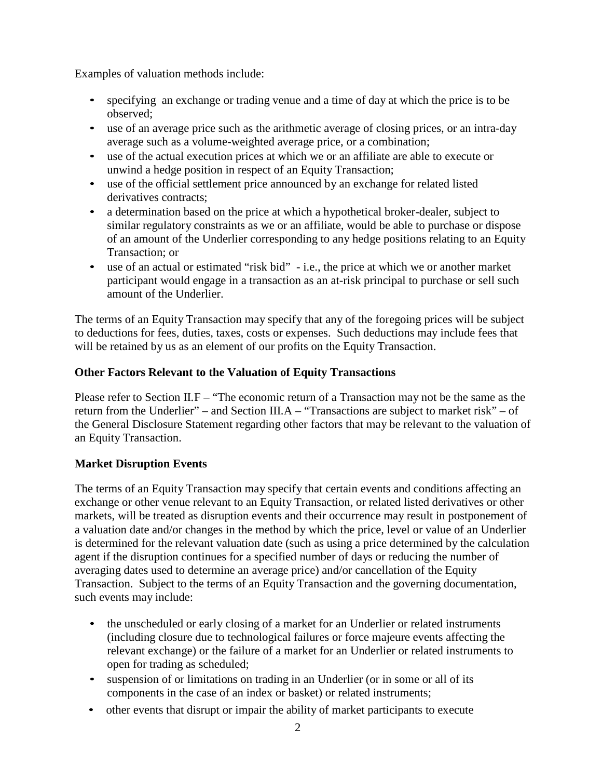Examples of valuation methods include:

- specifying an exchange or trading venue and a time of day at which the price is to be observed;
- use of an average price such as the arithmetic average of closing prices, or an intra-day average such as a volume-weighted average price, or a combination;
- use of the actual execution prices at which we or an affiliate are able to execute or unwind a hedge position in respect of an Equity Transaction;
- use of the official settlement price announced by an exchange for related listed derivatives contracts;
- a determination based on the price at which a hypothetical broker-dealer, subject to similar regulatory constraints as we or an affiliate, would be able to purchase or dispose of an amount of the Underlier corresponding to any hedge positions relating to an Equity Transaction; or
- use of an actual or estimated "risk bid" i.e., the price at which we or another market participant would engage in a transaction as an at-risk principal to purchase or sell such amount of the Underlier.

The terms of an Equity Transaction may specify that any of the foregoing prices will be subject to deductions for fees, duties, taxes, costs or expenses. Such deductions may include fees that will be retained by us as an element of our profits on the Equity Transaction.

# **Other Factors Relevant to the Valuation of Equity Transactions**

Please refer to Section II.F – "The economic return of a Transaction may not be the same as the return from the Underlier" – and Section III.A – "Transactions are subject to market risk" – of the General Disclosure Statement regarding other factors that may be relevant to the valuation of an Equity Transaction.

## **Market Disruption Events**

The terms of an Equity Transaction may specify that certain events and conditions affecting an exchange or other venue relevant to an Equity Transaction, or related listed derivatives or other markets, will be treated as disruption events and their occurrence may result in postponement of a valuation date and/or changes in the method by which the price, level or value of an Underlier is determined for the relevant valuation date (such as using a price determined by the calculation agent if the disruption continues for a specified number of days or reducing the number of averaging dates used to determine an average price) and/or cancellation of the Equity Transaction. Subject to the terms of an Equity Transaction and the governing documentation, such events may include:

- the unscheduled or early closing of a market for an Underlier or related instruments (including closure due to technological failures or force majeure events affecting the relevant exchange) or the failure of a market for an Underlier or related instruments to open for trading as scheduled;
- suspension of or limitations on trading in an Underlier (or in some or all of its components in the case of an index or basket) or related instruments;
- other events that disrupt or impair the ability of market participants to execute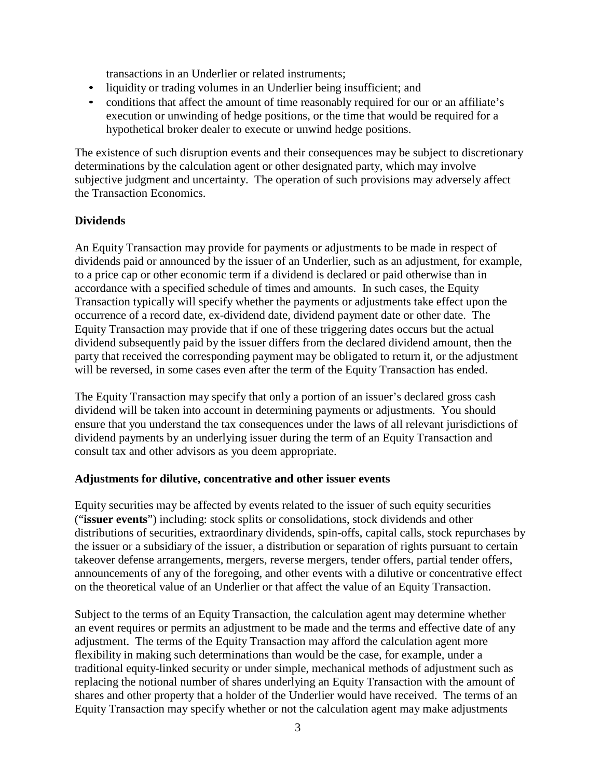transactions in an Underlier or related instruments;

- liquidity or trading volumes in an Underlier being insufficient; and
- conditions that affect the amount of time reasonably required for our or an affiliate's execution or unwinding of hedge positions, or the time that would be required for a hypothetical broker dealer to execute or unwind hedge positions.

The existence of such disruption events and their consequences may be subject to discretionary determinations by the calculation agent or other designated party, which may involve subjective judgment and uncertainty. The operation of such provisions may adversely affect the Transaction Economics.

### **Dividends**

An Equity Transaction may provide for payments or adjustments to be made in respect of dividends paid or announced by the issuer of an Underlier, such as an adjustment, for example, to a price cap or other economic term if a dividend is declared or paid otherwise than in accordance with a specified schedule of times and amounts. In such cases, the Equity Transaction typically will specify whether the payments or adjustments take effect upon the occurrence of a record date, ex-dividend date, dividend payment date or other date. The Equity Transaction may provide that if one of these triggering dates occurs but the actual dividend subsequently paid by the issuer differs from the declared dividend amount, then the party that received the corresponding payment may be obligated to return it, or the adjustment will be reversed, in some cases even after the term of the Equity Transaction has ended.

The Equity Transaction may specify that only a portion of an issuer's declared gross cash dividend will be taken into account in determining payments or adjustments. You should ensure that you understand the tax consequences under the laws of all relevant jurisdictions of dividend payments by an underlying issuer during the term of an Equity Transaction and consult tax and other advisors as you deem appropriate.

#### **Adjustments for dilutive, concentrative and other issuer events**

Equity securities may be affected by events related to the issuer of such equity securities ("**issuer events**") including: stock splits or consolidations, stock dividends and other distributions of securities, extraordinary dividends, spin-offs, capital calls, stock repurchases by the issuer or a subsidiary of the issuer, a distribution or separation of rights pursuant to certain takeover defense arrangements, mergers, reverse mergers, tender offers, partial tender offers, announcements of any of the foregoing, and other events with a dilutive or concentrative effect on the theoretical value of an Underlier or that affect the value of an Equity Transaction.

Subject to the terms of an Equity Transaction, the calculation agent may determine whether an event requires or permits an adjustment to be made and the terms and effective date of any adjustment. The terms of the Equity Transaction may afford the calculation agent more flexibility in making such determinations than would be the case, for example, under a traditional equity-linked security or under simple, mechanical methods of adjustment such as replacing the notional number of shares underlying an Equity Transaction with the amount of shares and other property that a holder of the Underlier would have received. The terms of an Equity Transaction may specify whether or not the calculation agent may make adjustments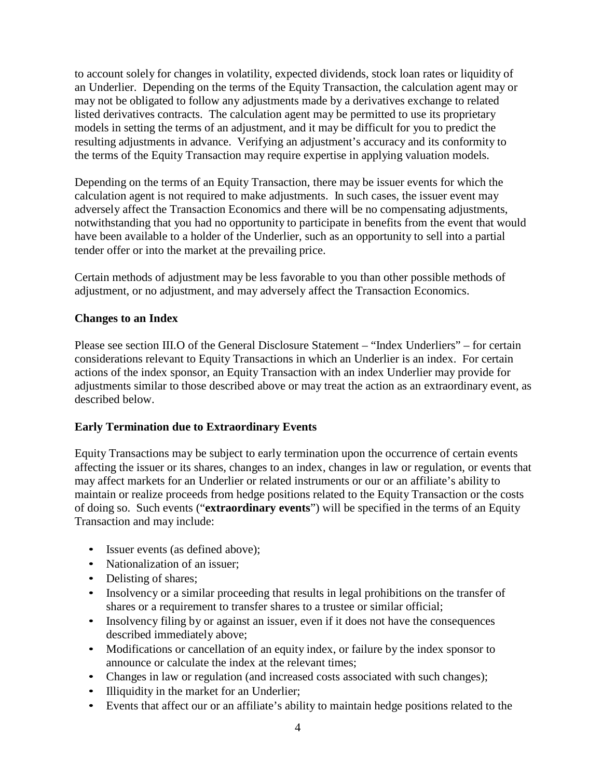to account solely for changes in volatility, expected dividends, stock loan rates or liquidity of an Underlier. Depending on the terms of the Equity Transaction, the calculation agent may or may not be obligated to follow any adjustments made by a derivatives exchange to related listed derivatives contracts. The calculation agent may be permitted to use its proprietary models in setting the terms of an adjustment, and it may be difficult for you to predict the resulting adjustments in advance. Verifying an adjustment's accuracy and its conformity to the terms of the Equity Transaction may require expertise in applying valuation models.

Depending on the terms of an Equity Transaction, there may be issuer events for which the calculation agent is not required to make adjustments. In such cases, the issuer event may adversely affect the Transaction Economics and there will be no compensating adjustments, notwithstanding that you had no opportunity to participate in benefits from the event that would have been available to a holder of the Underlier, such as an opportunity to sell into a partial tender offer or into the market at the prevailing price.

Certain methods of adjustment may be less favorable to you than other possible methods of adjustment, or no adjustment, and may adversely affect the Transaction Economics.

## **Changes to an Index**

Please see section III.O of the General Disclosure Statement – "Index Underliers" – for certain considerations relevant to Equity Transactions in which an Underlier is an index. For certain actions of the index sponsor, an Equity Transaction with an index Underlier may provide for adjustments similar to those described above or may treat the action as an extraordinary event, as described below.

## **Early Termination due to Extraordinary Events**

Equity Transactions may be subject to early termination upon the occurrence of certain events affecting the issuer or its shares, changes to an index, changes in law or regulation, or events that may affect markets for an Underlier or related instruments or our or an affiliate's ability to maintain or realize proceeds from hedge positions related to the Equity Transaction or the costs of doing so. Such events ("**extraordinary events**") will be specified in the terms of an Equity Transaction and may include:

- Issuer events (as defined above);
- Nationalization of an issuer:
- Delisting of shares;
- Insolvency or a similar proceeding that results in legal prohibitions on the transfer of shares or a requirement to transfer shares to a trustee or similar official;
- Insolvency filing by or against an issuer, even if it does not have the consequences described immediately above;
- Modifications or cancellation of an equity index, or failure by the index sponsor to announce or calculate the index at the relevant times;
- Changes in law or regulation (and increased costs associated with such changes);
- Illiquidity in the market for an Underlier;
- Events that affect our or an affiliate's ability to maintain hedge positions related to the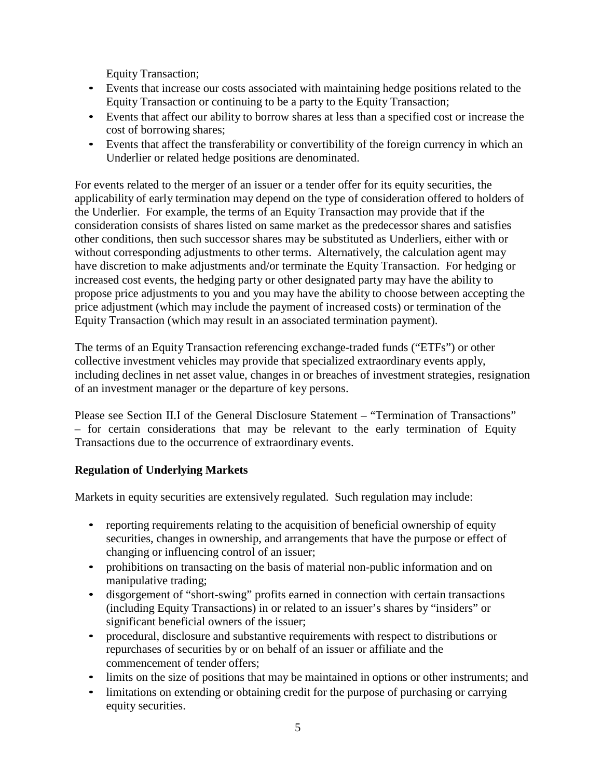Equity Transaction;

- Events that increase our costs associated with maintaining hedge positions related to the Equity Transaction or continuing to be a party to the Equity Transaction;
- Events that affect our ability to borrow shares at less than a specified cost or increase the cost of borrowing shares;
- Events that affect the transferability or convertibility of the foreign currency in which an Underlier or related hedge positions are denominated.

For events related to the merger of an issuer or a tender offer for its equity securities, the applicability of early termination may depend on the type of consideration offered to holders of the Underlier. For example, the terms of an Equity Transaction may provide that if the consideration consists of shares listed on same market as the predecessor shares and satisfies other conditions, then such successor shares may be substituted as Underliers, either with or without corresponding adjustments to other terms. Alternatively, the calculation agent may have discretion to make adjustments and/or terminate the Equity Transaction. For hedging or increased cost events, the hedging party or other designated party may have the ability to propose price adjustments to you and you may have the ability to choose between accepting the price adjustment (which may include the payment of increased costs) or termination of the Equity Transaction (which may result in an associated termination payment).

The terms of an Equity Transaction referencing exchange-traded funds ("ETFs") or other collective investment vehicles may provide that specialized extraordinary events apply, including declines in net asset value, changes in or breaches of investment strategies, resignation of an investment manager or the departure of key persons.

Please see Section II.I of the General Disclosure Statement – "Termination of Transactions" – for certain considerations that may be relevant to the early termination of Equity Transactions due to the occurrence of extraordinary events.

## **Regulation of Underlying Markets**

Markets in equity securities are extensively regulated. Such regulation may include:

- reporting requirements relating to the acquisition of beneficial ownership of equity securities, changes in ownership, and arrangements that have the purpose or effect of changing or influencing control of an issuer;
- prohibitions on transacting on the basis of material non-public information and on manipulative trading;
- disgorgement of "short-swing" profits earned in connection with certain transactions (including Equity Transactions) in or related to an issuer's shares by "insiders" or significant beneficial owners of the issuer;
- procedural, disclosure and substantive requirements with respect to distributions or repurchases of securities by or on behalf of an issuer or affiliate and the commencement of tender offers;
- limits on the size of positions that may be maintained in options or other instruments; and
- limitations on extending or obtaining credit for the purpose of purchasing or carrying equity securities.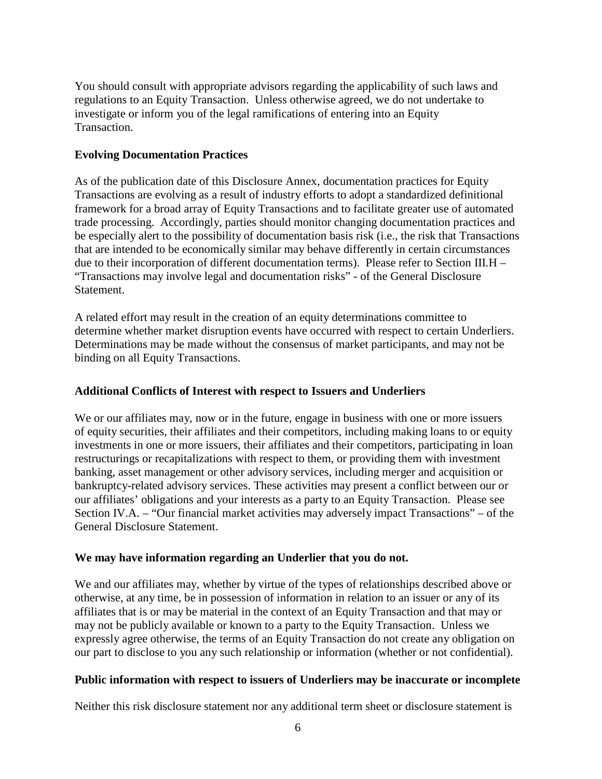You should consult with appropriate advisors regarding the applicability of such laws and regulations to an Equity Transaction. Unless otherwise agreed, we do not undertake to investigate or inform you of the legal ramifications of entering into an Equity Transaction.

### **Evolving Documentation Practices**

As of the publication date of this Disclosure Annex, documentation practices for Equity Transactions are evolving as a result of industry efforts to adopt a standardized definitional framework for a broad array of Equity Transactions and to facilitate greater use of automated trade processing. Accordingly, parties should monitor changing documentation practices and be especially alert to the possibility of documentation basis risk (i.e., the risk that Transactions that are intended to be economically similar may behave differently in certain circumstances due to their incorporation of different documentation terms). Please refer to Section III.H – "Transactions may involve legal and documentation risks" - of the General Disclosure **Statement.** 

A related effort may result in the creation of an equity determinations committee to determine whether market disruption events have occurred with respect to certain Underliers. Determinations may be made without the consensus of market participants, and may not be binding on all Equity Transactions.

### **Additional Conflicts of Interest with respect to Issuers and Underliers**

We or our affiliates may, now or in the future, engage in business with one or more issuers of equity securities, their affiliates and their competitors, including making loans to or equity investments in one or more issuers, their affiliates and their competitors, participating in loan restructurings or recapitalizations with respect to them, or providing them with investment banking, asset management or other advisory services, including merger and acquisition or bankruptcy-related advisory services. These activities may present a conflict between our or our affiliates' obligations and your interests as a party to an Equity Transaction. Please see Section IV.A. – "Our financial market activities may adversely impact Transactions" – of the General Disclosure Statement.

#### **We may have information regarding an Underlier that you do not.**

We and our affiliates may, whether by virtue of the types of relationships described above or otherwise, at any time, be in possession of information in relation to an issuer or any of its affiliates that is or may be material in the context of an Equity Transaction and that may or may not be publicly available or known to a party to the Equity Transaction. Unless we expressly agree otherwise, the terms of an Equity Transaction do not create any obligation on our part to disclose to you any such relationship or information (whether or not confidential).

#### **Public information with respect to issuers of Underliers may be inaccurate or incomplete**

Neither this risk disclosure statement nor any additional term sheet or disclosure statement is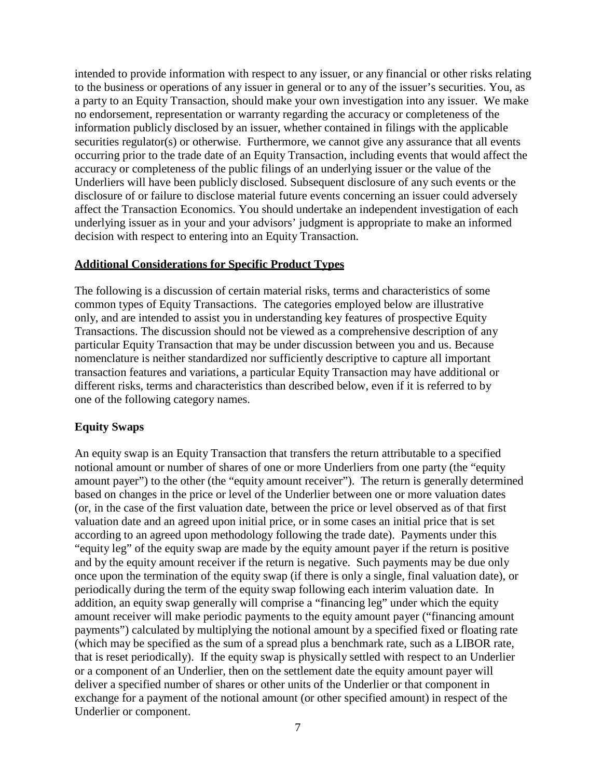intended to provide information with respect to any issuer, or any financial or other risks relating to the business or operations of any issuer in general or to any of the issuer's securities. You, as a party to an Equity Transaction, should make your own investigation into any issuer. We make no endorsement, representation or warranty regarding the accuracy or completeness of the information publicly disclosed by an issuer, whether contained in filings with the applicable securities regulator(s) or otherwise. Furthermore, we cannot give any assurance that all events occurring prior to the trade date of an Equity Transaction, including events that would affect the accuracy or completeness of the public filings of an underlying issuer or the value of the Underliers will have been publicly disclosed. Subsequent disclosure of any such events or the disclosure of or failure to disclose material future events concerning an issuer could adversely affect the Transaction Economics. You should undertake an independent investigation of each underlying issuer as in your and your advisors' judgment is appropriate to make an informed decision with respect to entering into an Equity Transaction.

#### **Additional Considerations for Specific Product Types**

The following is a discussion of certain material risks, terms and characteristics of some common types of Equity Transactions. The categories employed below are illustrative only, and are intended to assist you in understanding key features of prospective Equity Transactions. The discussion should not be viewed as a comprehensive description of any particular Equity Transaction that may be under discussion between you and us. Because nomenclature is neither standardized nor sufficiently descriptive to capture all important transaction features and variations, a particular Equity Transaction may have additional or different risks, terms and characteristics than described below, even if it is referred to by one of the following category names.

#### **Equity Swaps**

An equity swap is an Equity Transaction that transfers the return attributable to a specified notional amount or number of shares of one or more Underliers from one party (the "equity amount payer") to the other (the "equity amount receiver"). The return is generally determined based on changes in the price or level of the Underlier between one or more valuation dates (or, in the case of the first valuation date, between the price or level observed as of that first valuation date and an agreed upon initial price, or in some cases an initial price that is set according to an agreed upon methodology following the trade date). Payments under this "equity leg" of the equity swap are made by the equity amount payer if the return is positive and by the equity amount receiver if the return is negative. Such payments may be due only once upon the termination of the equity swap (if there is only a single, final valuation date), or periodically during the term of the equity swap following each interim valuation date. In addition, an equity swap generally will comprise a "financing leg" under which the equity amount receiver will make periodic payments to the equity amount payer ("financing amount payments") calculated by multiplying the notional amount by a specified fixed or floating rate (which may be specified as the sum of a spread plus a benchmark rate, such as a LIBOR rate, that is reset periodically). If the equity swap is physically settled with respect to an Underlier or a component of an Underlier, then on the settlement date the equity amount payer will deliver a specified number of shares or other units of the Underlier or that component in exchange for a payment of the notional amount (or other specified amount) in respect of the Underlier or component.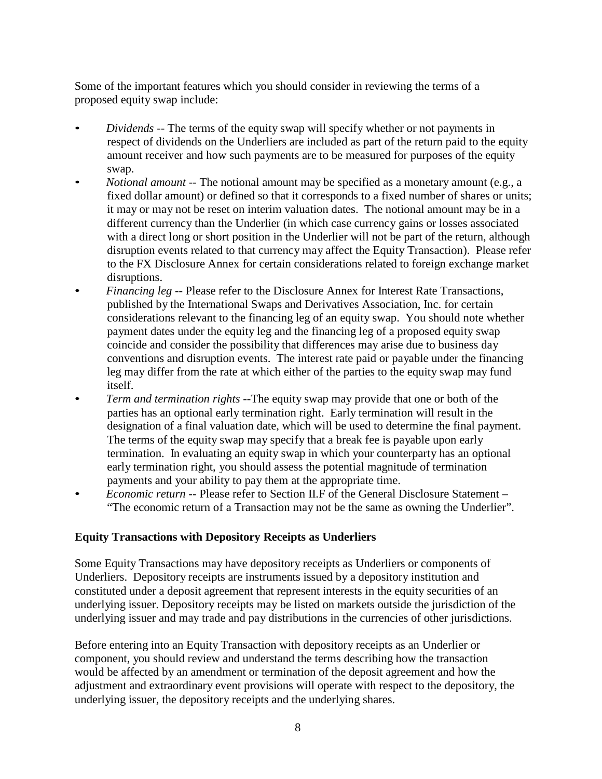Some of the important features which you should consider in reviewing the terms of a proposed equity swap include:

- *Dividends* -- The terms of the equity swap will specify whether or not payments in respect of dividends on the Underliers are included as part of the return paid to the equity amount receiver and how such payments are to be measured for purposes of the equity swap.
- *Notional amount* -- The notional amount may be specified as a monetary amount (e.g., a fixed dollar amount) or defined so that it corresponds to a fixed number of shares or units; it may or may not be reset on interim valuation dates. The notional amount may be in a different currency than the Underlier (in which case currency gains or losses associated with a direct long or short position in the Underlier will not be part of the return, although disruption events related to that currency may affect the Equity Transaction). Please refer to the FX Disclosure Annex for certain considerations related to foreign exchange market disruptions.
- *Financing leg* -- Please refer to the Disclosure Annex for Interest Rate Transactions, published by the International Swaps and Derivatives Association, Inc. for certain considerations relevant to the financing leg of an equity swap. You should note whether payment dates under the equity leg and the financing leg of a proposed equity swap coincide and consider the possibility that differences may arise due to business day conventions and disruption events. The interest rate paid or payable under the financing leg may differ from the rate at which either of the parties to the equity swap may fund itself.
- *Term and termination rights* --The equity swap may provide that one or both of the parties has an optional early termination right. Early termination will result in the designation of a final valuation date, which will be used to determine the final payment. The terms of the equity swap may specify that a break fee is payable upon early termination. In evaluating an equity swap in which your counterparty has an optional early termination right, you should assess the potential magnitude of termination payments and your ability to pay them at the appropriate time.
- *Economic return* -- Please refer to Section II.F of the General Disclosure Statement "The economic return of a Transaction may not be the same as owning the Underlier".

## **Equity Transactions with Depository Receipts as Underliers**

Some Equity Transactions may have depository receipts as Underliers or components of Underliers. Depository receipts are instruments issued by a depository institution and constituted under a deposit agreement that represent interests in the equity securities of an underlying issuer. Depository receipts may be listed on markets outside the jurisdiction of the underlying issuer and may trade and pay distributions in the currencies of other jurisdictions.

Before entering into an Equity Transaction with depository receipts as an Underlier or component, you should review and understand the terms describing how the transaction would be affected by an amendment or termination of the deposit agreement and how the adjustment and extraordinary event provisions will operate with respect to the depository, the underlying issuer, the depository receipts and the underlying shares.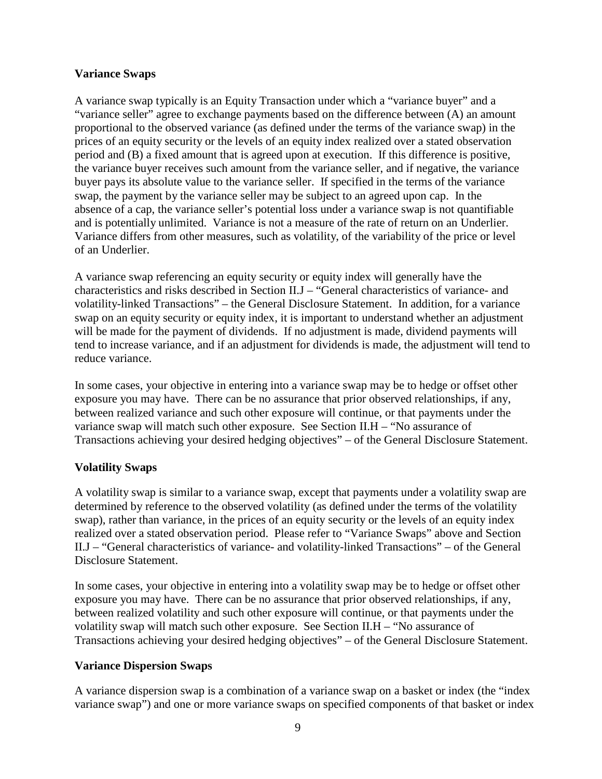## **Variance Swaps**

A variance swap typically is an Equity Transaction under which a "variance buyer" and a "variance seller" agree to exchange payments based on the difference between (A) an amount proportional to the observed variance (as defined under the terms of the variance swap) in the prices of an equity security or the levels of an equity index realized over a stated observation period and (B) a fixed amount that is agreed upon at execution. If this difference is positive, the variance buyer receives such amount from the variance seller, and if negative, the variance buyer pays its absolute value to the variance seller. If specified in the terms of the variance swap, the payment by the variance seller may be subject to an agreed upon cap. In the absence of a cap, the variance seller's potential loss under a variance swap is not quantifiable and is potentially unlimited. Variance is not a measure of the rate of return on an Underlier. Variance differs from other measures, such as volatility, of the variability of the price or level of an Underlier.

A variance swap referencing an equity security or equity index will generally have the characteristics and risks described in Section II.J – "General characteristics of variance- and volatility-linked Transactions" – the General Disclosure Statement. In addition, for a variance swap on an equity security or equity index, it is important to understand whether an adjustment will be made for the payment of dividends. If no adjustment is made, dividend payments will tend to increase variance, and if an adjustment for dividends is made, the adjustment will tend to reduce variance.

In some cases, your objective in entering into a variance swap may be to hedge or offset other exposure you may have. There can be no assurance that prior observed relationships, if any, between realized variance and such other exposure will continue, or that payments under the variance swap will match such other exposure. See Section II.H – "No assurance of Transactions achieving your desired hedging objectives" – of the General Disclosure Statement.

## **Volatility Swaps**

A volatility swap is similar to a variance swap, except that payments under a volatility swap are determined by reference to the observed volatility (as defined under the terms of the volatility swap), rather than variance, in the prices of an equity security or the levels of an equity index realized over a stated observation period. Please refer to "Variance Swaps" above and Section II.J – "General characteristics of variance- and volatility-linked Transactions" – of the General Disclosure Statement.

In some cases, your objective in entering into a volatility swap may be to hedge or offset other exposure you may have. There can be no assurance that prior observed relationships, if any, between realized volatility and such other exposure will continue, or that payments under the volatility swap will match such other exposure. See Section II.H – "No assurance of Transactions achieving your desired hedging objectives" – of the General Disclosure Statement.

## **Variance Dispersion Swaps**

A variance dispersion swap is a combination of a variance swap on a basket or index (the "index variance swap") and one or more variance swaps on specified components of that basket or index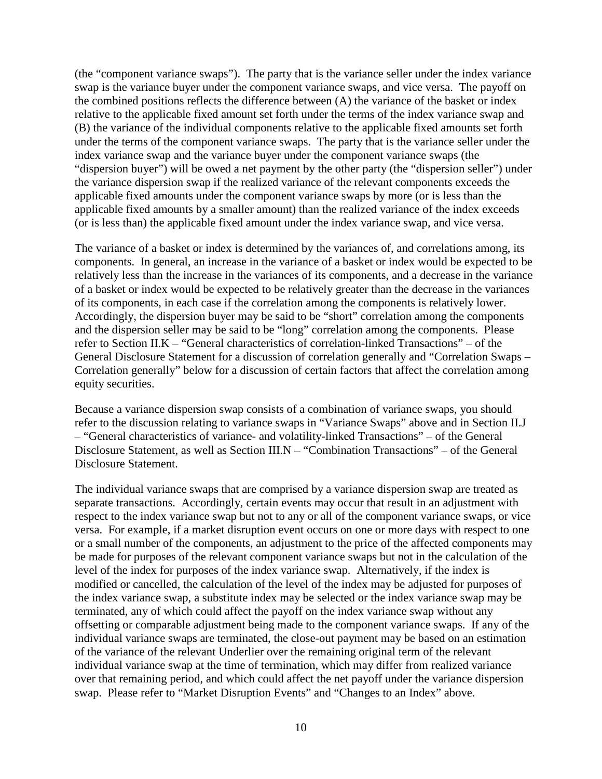(the "component variance swaps"). The party that is the variance seller under the index variance swap is the variance buyer under the component variance swaps, and vice versa. The payoff on the combined positions reflects the difference between (A) the variance of the basket or index relative to the applicable fixed amount set forth under the terms of the index variance swap and (B) the variance of the individual components relative to the applicable fixed amounts set forth under the terms of the component variance swaps. The party that is the variance seller under the index variance swap and the variance buyer under the component variance swaps (the "dispersion buyer") will be owed a net payment by the other party (the "dispersion seller") under the variance dispersion swap if the realized variance of the relevant components exceeds the applicable fixed amounts under the component variance swaps by more (or is less than the applicable fixed amounts by a smaller amount) than the realized variance of the index exceeds (or is less than) the applicable fixed amount under the index variance swap, and vice versa.

The variance of a basket or index is determined by the variances of, and correlations among, its components. In general, an increase in the variance of a basket or index would be expected to be relatively less than the increase in the variances of its components, and a decrease in the variance of a basket or index would be expected to be relatively greater than the decrease in the variances of its components, in each case if the correlation among the components is relatively lower. Accordingly, the dispersion buyer may be said to be "short" correlation among the components and the dispersion seller may be said to be "long" correlation among the components. Please refer to Section II.K – "General characteristics of correlation-linked Transactions" – of the General Disclosure Statement for a discussion of correlation generally and "Correlation Swaps – Correlation generally" below for a discussion of certain factors that affect the correlation among equity securities.

Because a variance dispersion swap consists of a combination of variance swaps, you should refer to the discussion relating to variance swaps in "Variance Swaps" above and in Section II.J – "General characteristics of variance- and volatility-linked Transactions" – of the General Disclosure Statement, as well as Section III.N – "Combination Transactions" – of the General Disclosure Statement.

The individual variance swaps that are comprised by a variance dispersion swap are treated as separate transactions. Accordingly, certain events may occur that result in an adjustment with respect to the index variance swap but not to any or all of the component variance swaps, or vice versa. For example, if a market disruption event occurs on one or more days with respect to one or a small number of the components, an adjustment to the price of the affected components may be made for purposes of the relevant component variance swaps but not in the calculation of the level of the index for purposes of the index variance swap. Alternatively, if the index is modified or cancelled, the calculation of the level of the index may be adjusted for purposes of the index variance swap, a substitute index may be selected or the index variance swap may be terminated, any of which could affect the payoff on the index variance swap without any offsetting or comparable adjustment being made to the component variance swaps. If any of the individual variance swaps are terminated, the close-out payment may be based on an estimation of the variance of the relevant Underlier over the remaining original term of the relevant individual variance swap at the time of termination, which may differ from realized variance over that remaining period, and which could affect the net payoff under the variance dispersion swap. Please refer to "Market Disruption Events" and "Changes to an Index" above.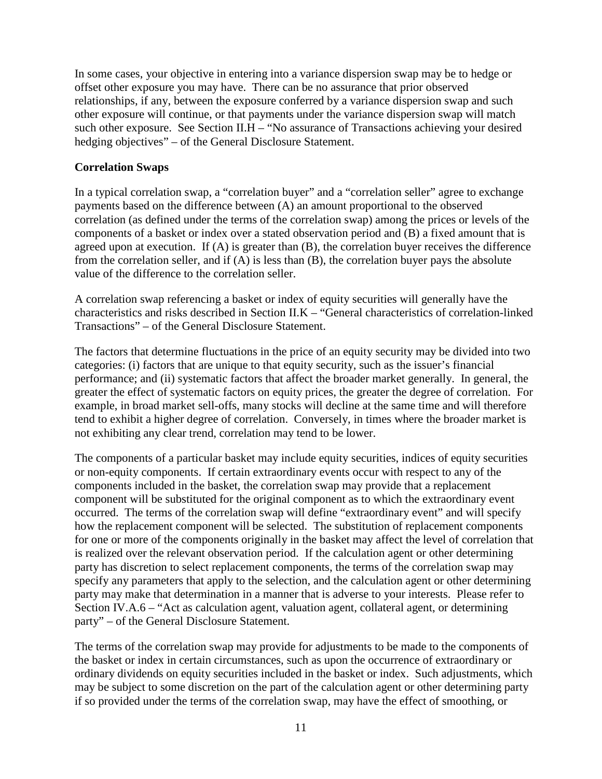In some cases, your objective in entering into a variance dispersion swap may be to hedge or offset other exposure you may have. There can be no assurance that prior observed relationships, if any, between the exposure conferred by a variance dispersion swap and such other exposure will continue, or that payments under the variance dispersion swap will match such other exposure. See Section II.H – "No assurance of Transactions achieving your desired hedging objectives" – of the General Disclosure Statement.

#### **Correlation Swaps**

In a typical correlation swap, a "correlation buyer" and a "correlation seller" agree to exchange payments based on the difference between (A) an amount proportional to the observed correlation (as defined under the terms of the correlation swap) among the prices or levels of the components of a basket or index over a stated observation period and (B) a fixed amount that is agreed upon at execution. If (A) is greater than (B), the correlation buyer receives the difference from the correlation seller, and if (A) is less than (B), the correlation buyer pays the absolute value of the difference to the correlation seller.

A correlation swap referencing a basket or index of equity securities will generally have the characteristics and risks described in Section II.K – "General characteristics of correlation-linked Transactions" – of the General Disclosure Statement.

The factors that determine fluctuations in the price of an equity security may be divided into two categories: (i) factors that are unique to that equity security, such as the issuer's financial performance; and (ii) systematic factors that affect the broader market generally. In general, the greater the effect of systematic factors on equity prices, the greater the degree of correlation. For example, in broad market sell-offs, many stocks will decline at the same time and will therefore tend to exhibit a higher degree of correlation. Conversely, in times where the broader market is not exhibiting any clear trend, correlation may tend to be lower.

The components of a particular basket may include equity securities, indices of equity securities or non-equity components. If certain extraordinary events occur with respect to any of the components included in the basket, the correlation swap may provide that a replacement component will be substituted for the original component as to which the extraordinary event occurred. The terms of the correlation swap will define "extraordinary event" and will specify how the replacement component will be selected. The substitution of replacement components for one or more of the components originally in the basket may affect the level of correlation that is realized over the relevant observation period. If the calculation agent or other determining party has discretion to select replacement components, the terms of the correlation swap may specify any parameters that apply to the selection, and the calculation agent or other determining party may make that determination in a manner that is adverse to your interests. Please refer to Section IV.A.6 – "Act as calculation agent, valuation agent, collateral agent, or determining party" – of the General Disclosure Statement.

The terms of the correlation swap may provide for adjustments to be made to the components of the basket or index in certain circumstances, such as upon the occurrence of extraordinary or ordinary dividends on equity securities included in the basket or index. Such adjustments, which may be subject to some discretion on the part of the calculation agent or other determining party if so provided under the terms of the correlation swap, may have the effect of smoothing, or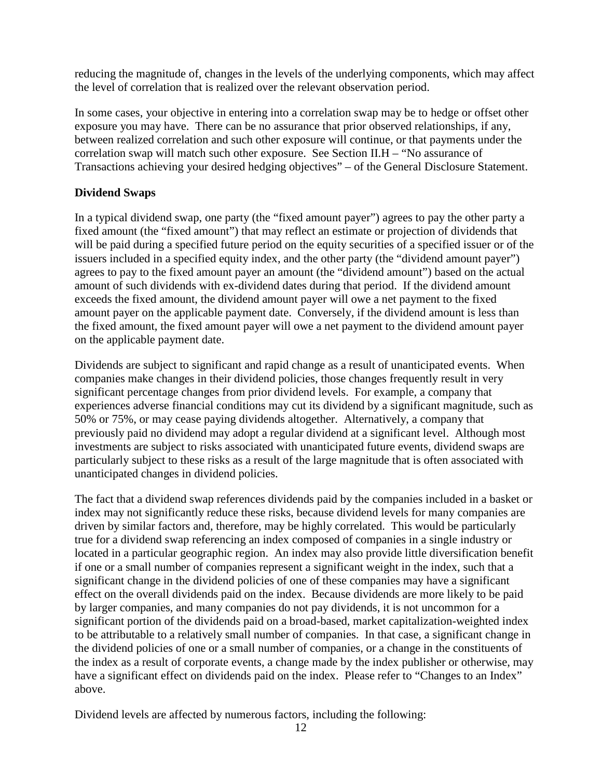reducing the magnitude of, changes in the levels of the underlying components, which may affect the level of correlation that is realized over the relevant observation period.

In some cases, your objective in entering into a correlation swap may be to hedge or offset other exposure you may have. There can be no assurance that prior observed relationships, if any, between realized correlation and such other exposure will continue, or that payments under the correlation swap will match such other exposure. See Section II.H – "No assurance of Transactions achieving your desired hedging objectives" – of the General Disclosure Statement.

## **Dividend Swaps**

In a typical dividend swap, one party (the "fixed amount payer") agrees to pay the other party a fixed amount (the "fixed amount") that may reflect an estimate or projection of dividends that will be paid during a specified future period on the equity securities of a specified issuer or of the issuers included in a specified equity index, and the other party (the "dividend amount payer") agrees to pay to the fixed amount payer an amount (the "dividend amount") based on the actual amount of such dividends with ex-dividend dates during that period. If the dividend amount exceeds the fixed amount, the dividend amount payer will owe a net payment to the fixed amount payer on the applicable payment date. Conversely, if the dividend amount is less than the fixed amount, the fixed amount payer will owe a net payment to the dividend amount payer on the applicable payment date.

Dividends are subject to significant and rapid change as a result of unanticipated events. When companies make changes in their dividend policies, those changes frequently result in very significant percentage changes from prior dividend levels. For example, a company that experiences adverse financial conditions may cut its dividend by a significant magnitude, such as 50% or 75%, or may cease paying dividends altogether. Alternatively, a company that previously paid no dividend may adopt a regular dividend at a significant level. Although most investments are subject to risks associated with unanticipated future events, dividend swaps are particularly subject to these risks as a result of the large magnitude that is often associated with unanticipated changes in dividend policies.

The fact that a dividend swap references dividends paid by the companies included in a basket or index may not significantly reduce these risks, because dividend levels for many companies are driven by similar factors and, therefore, may be highly correlated. This would be particularly true for a dividend swap referencing an index composed of companies in a single industry or located in a particular geographic region. An index may also provide little diversification benefit if one or a small number of companies represent a significant weight in the index, such that a significant change in the dividend policies of one of these companies may have a significant effect on the overall dividends paid on the index. Because dividends are more likely to be paid by larger companies, and many companies do not pay dividends, it is not uncommon for a significant portion of the dividends paid on a broad-based, market capitalization-weighted index to be attributable to a relatively small number of companies. In that case, a significant change in the dividend policies of one or a small number of companies, or a change in the constituents of the index as a result of corporate events, a change made by the index publisher or otherwise, may have a significant effect on dividends paid on the index. Please refer to "Changes to an Index" above.

Dividend levels are affected by numerous factors, including the following: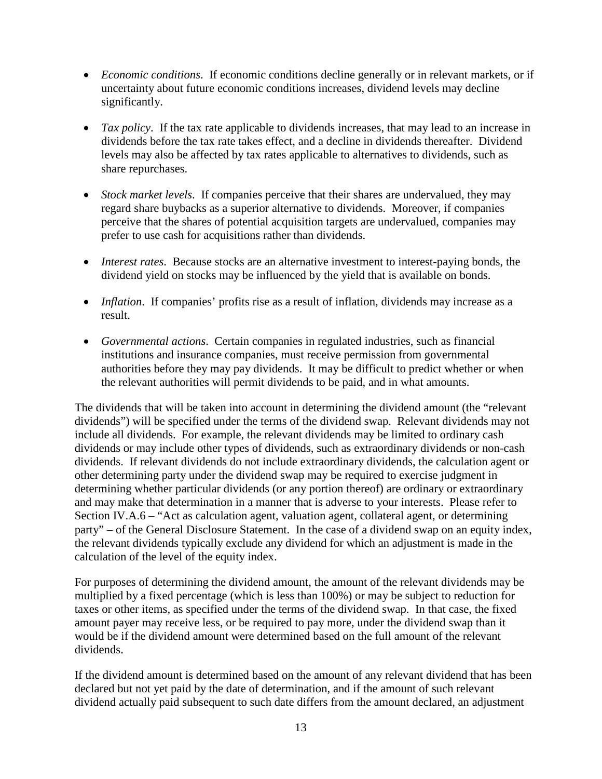- *Economic conditions*. If economic conditions decline generally or in relevant markets, or if uncertainty about future economic conditions increases, dividend levels may decline significantly.
- *Tax policy*. If the tax rate applicable to dividends increases, that may lead to an increase in dividends before the tax rate takes effect, and a decline in dividends thereafter. Dividend levels may also be affected by tax rates applicable to alternatives to dividends, such as share repurchases.
- *Stock market levels*. If companies perceive that their shares are undervalued, they may regard share buybacks as a superior alternative to dividends. Moreover, if companies perceive that the shares of potential acquisition targets are undervalued, companies may prefer to use cash for acquisitions rather than dividends.
- *Interest rates*. Because stocks are an alternative investment to interest-paying bonds, the dividend yield on stocks may be influenced by the yield that is available on bonds.
- *Inflation*. If companies' profits rise as a result of inflation, dividends may increase as a result.
- *Governmental actions*. Certain companies in regulated industries, such as financial institutions and insurance companies, must receive permission from governmental authorities before they may pay dividends. It may be difficult to predict whether or when the relevant authorities will permit dividends to be paid, and in what amounts.

The dividends that will be taken into account in determining the dividend amount (the "relevant dividends") will be specified under the terms of the dividend swap. Relevant dividends may not include all dividends. For example, the relevant dividends may be limited to ordinary cash dividends or may include other types of dividends, such as extraordinary dividends or non-cash dividends. If relevant dividends do not include extraordinary dividends, the calculation agent or other determining party under the dividend swap may be required to exercise judgment in determining whether particular dividends (or any portion thereof) are ordinary or extraordinary and may make that determination in a manner that is adverse to your interests. Please refer to Section IV.A.6 – "Act as calculation agent, valuation agent, collateral agent, or determining party" – of the General Disclosure Statement. In the case of a dividend swap on an equity index, the relevant dividends typically exclude any dividend for which an adjustment is made in the calculation of the level of the equity index.

For purposes of determining the dividend amount, the amount of the relevant dividends may be multiplied by a fixed percentage (which is less than 100%) or may be subject to reduction for taxes or other items, as specified under the terms of the dividend swap. In that case, the fixed amount payer may receive less, or be required to pay more, under the dividend swap than it would be if the dividend amount were determined based on the full amount of the relevant dividends.

If the dividend amount is determined based on the amount of any relevant dividend that has been declared but not yet paid by the date of determination, and if the amount of such relevant dividend actually paid subsequent to such date differs from the amount declared, an adjustment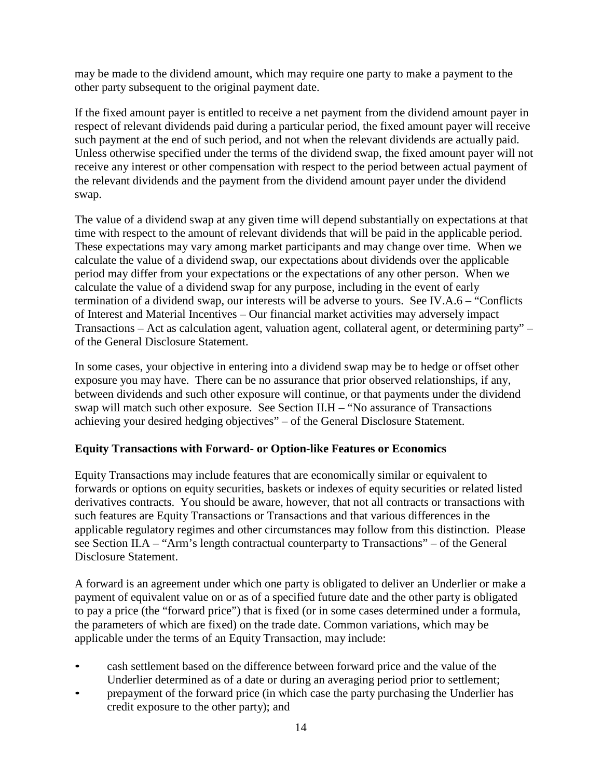may be made to the dividend amount, which may require one party to make a payment to the other party subsequent to the original payment date.

If the fixed amount payer is entitled to receive a net payment from the dividend amount payer in respect of relevant dividends paid during a particular period, the fixed amount payer will receive such payment at the end of such period, and not when the relevant dividends are actually paid. Unless otherwise specified under the terms of the dividend swap, the fixed amount payer will not receive any interest or other compensation with respect to the period between actual payment of the relevant dividends and the payment from the dividend amount payer under the dividend swap.

The value of a dividend swap at any given time will depend substantially on expectations at that time with respect to the amount of relevant dividends that will be paid in the applicable period. These expectations may vary among market participants and may change over time. When we calculate the value of a dividend swap, our expectations about dividends over the applicable period may differ from your expectations or the expectations of any other person. When we calculate the value of a dividend swap for any purpose, including in the event of early termination of a dividend swap, our interests will be adverse to yours. See IV.A.6 – "Conflicts of Interest and Material Incentives – Our financial market activities may adversely impact Transactions – Act as calculation agent, valuation agent, collateral agent, or determining party" – of the General Disclosure Statement.

In some cases, your objective in entering into a dividend swap may be to hedge or offset other exposure you may have. There can be no assurance that prior observed relationships, if any, between dividends and such other exposure will continue, or that payments under the dividend swap will match such other exposure. See Section II.H – "No assurance of Transactions achieving your desired hedging objectives" – of the General Disclosure Statement.

## **Equity Transactions with Forward- or Option-like Features or Economics**

Equity Transactions may include features that are economically similar or equivalent to forwards or options on equity securities, baskets or indexes of equity securities or related listed derivatives contracts. You should be aware, however, that not all contracts or transactions with such features are Equity Transactions or Transactions and that various differences in the applicable regulatory regimes and other circumstances may follow from this distinction. Please see Section II.A – "Arm's length contractual counterparty to Transactions" – of the General Disclosure Statement.

A forward is an agreement under which one party is obligated to deliver an Underlier or make a payment of equivalent value on or as of a specified future date and the other party is obligated to pay a price (the "forward price") that is fixed (or in some cases determined under a formula, the parameters of which are fixed) on the trade date. Common variations, which may be applicable under the terms of an Equity Transaction, may include:

- cash settlement based on the difference between forward price and the value of the Underlier determined as of a date or during an averaging period prior to settlement;
- prepayment of the forward price (in which case the party purchasing the Underlier has credit exposure to the other party); and